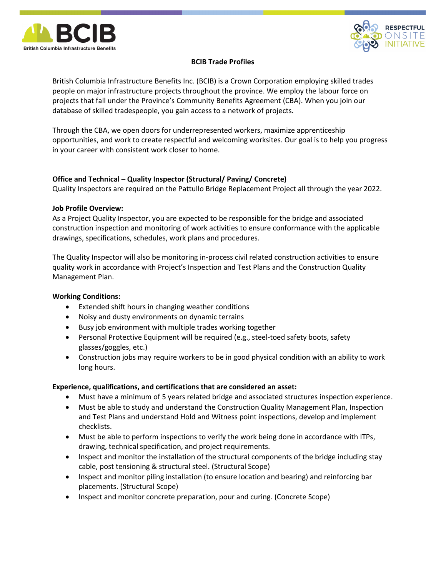



# BCIB Trade Profiles

British Columbia Infrastructure Benefits Inc. (BCIB) is a Crown Corporation employing skilled trades people on major infrastructure projects throughout the province. We employ the labour force on projects that fall under the Province's Community Benefits Agreement (CBA). When you join our database of skilled tradespeople, you gain access to a network of projects.

Through the CBA, we open doors for underrepresented workers, maximize apprenticeship opportunities, and work to create respectful and welcoming worksites. Our goal is to help you progress in your career with consistent work closer to home.

# Office and Technical – Quality Inspector (Structural/ Paving/ Concrete)

Quality Inspectors are required on the Pattullo Bridge Replacement Project all through the year 2022.

# Job Profile Overview:

As a Project Quality Inspector, you are expected to be responsible for the bridge and associated construction inspection and monitoring of work activities to ensure conformance with the applicable drawings, specifications, schedules, work plans and procedures.

The Quality Inspector will also be monitoring in-process civil related construction activities to ensure quality work in accordance with Project's Inspection and Test Plans and the Construction Quality Management Plan.

# Working Conditions:

- Extended shift hours in changing weather conditions
- Noisy and dusty environments on dynamic terrains
- Busy job environment with multiple trades working together
- Personal Protective Equipment will be required (e.g., steel-toed safety boots, safety glasses/goggles, etc.)
- Construction jobs may require workers to be in good physical condition with an ability to work long hours.

# Experience, qualifications, and certifications that are considered an asset:

- Must have a minimum of 5 years related bridge and associated structures inspection experience.
- Must be able to study and understand the Construction Quality Management Plan, Inspection and Test Plans and understand Hold and Witness point inspections, develop and implement checklists.
- Must be able to perform inspections to verify the work being done in accordance with ITPs, drawing, technical specification, and project requirements.
- Inspect and monitor the installation of the structural components of the bridge including stay cable, post tensioning & structural steel. (Structural Scope)
- Inspect and monitor piling installation (to ensure location and bearing) and reinforcing bar placements. (Structural Scope)
- Inspect and monitor concrete preparation, pour and curing. (Concrete Scope)